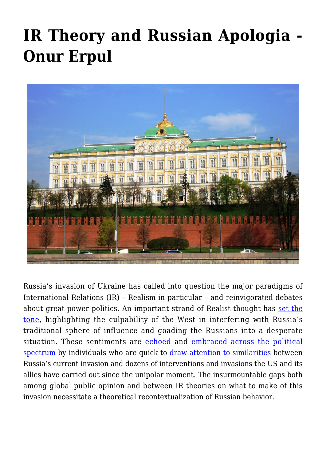## **[IR Theory and Russian Apologia -](https://www.uikpanorama.com/blog/2022/05/10/rs-theory2/) [Onur Erpul](https://www.uikpanorama.com/blog/2022/05/10/rs-theory2/)**



Russia's invasion of Ukraine has called into question the major paradigms of International Relations (IR) – Realism in particular – and reinvigorated debates about great power politics. An important strand of Realist thought has [set the](https://www.newyorker.com/news/q-and-a/why-john-mearsheimer-blames-the-us-for-the-crisis-in-ukraine) [tone](https://www.newyorker.com/news/q-and-a/why-john-mearsheimer-blames-the-us-for-the-crisis-in-ukraine), highlighting the culpability of the West in interfering with Russia's traditional sphere of influence and goading the Russians into a desperate situation. These sentiments are [echoed](https://www.dw.com/en/why-china-thinks-the-west-is-to-blame-for-russias-war-in-ukraine/a-61119517) and [embraced across the political](https://theintercept.com/2022/03/01/ukraine-russia-leftists-tankie/) [spectrum](https://theintercept.com/2022/03/01/ukraine-russia-leftists-tankie/) by individuals who are quick to [draw attention to similarities](https://rozenbergquarterly.com/chomsky-us-approach-to-ukraine-and-russia-has-left-the-domain-of-rational-discourse/) between Russia's current invasion and dozens of interventions and invasions the US and its allies have carried out since the unipolar moment. The insurmountable gaps both among global public opinion and between IR theories on what to make of this invasion necessitate a theoretical recontextualization of Russian behavior.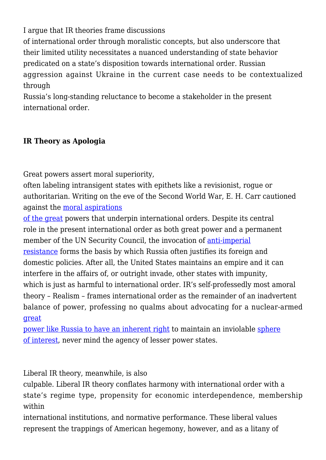I argue that IR theories frame discussions

of international order through moralistic concepts, but also underscore that their limited utility necessitates a nuanced understanding of state behavior predicated on a state's disposition towards international order. Russian aggression against Ukraine in the current case needs to be contextualized through

Russia's long-standing reluctance to become a stakeholder in the present international order.

## **IR Theory as Apologia**

Great powers assert moral superiority,

often labeling intransigent states with epithets like a revisionist, rogue or authoritarian. Writing on the eve of the Second World War, E. H. Carr cautioned against the [moral aspirations](https://link.springer.com/chapter/10.1057/978-1-349-95076-8_4)

[of the great](https://link.springer.com/chapter/10.1057/978-1-349-95076-8_4) powers that underpin international orders. Despite its central role in the present international order as both great power and a permanent member of the UN Security Council, the invocation of [anti-imperial](https://www.theguardian.com/commentisfree/2022/feb/25/putin-mind-words-russia-victimhood) [resistance](https://www.theguardian.com/commentisfree/2022/feb/25/putin-mind-words-russia-victimhood) forms the basis by which Russia often justifies its foreign and domestic policies. After all, the United States maintains an empire and it can interfere in the affairs of, or outright invade, other states with impunity, which is just as harmful to international order. IR's self-professedly most amoral theory – Realism – frames international order as the remainder of an inadvertent balance of power, professing no qualms about advocating for a nuclear-armed [great](https://www.duckofminerva.com/2022/03/a-tale-of-two-interviews-ir-theory-and-the-russian-invasion-of-ukraine.html)

[power like Russia to have an inherent right](https://www.duckofminerva.com/2022/03/a-tale-of-two-interviews-ir-theory-and-the-russian-invasion-of-ukraine.html) to maintain an inviolable [sphere](https://thegeopolitics.com/a-realist-perspective-russia-and-ukraine/) [of interest](https://thegeopolitics.com/a-realist-perspective-russia-and-ukraine/), never mind the agency of lesser power states.

Liberal IR theory, meanwhile, is also

culpable. Liberal IR theory conflates harmony with international order with a state's regime type, propensity for economic interdependence, membership within

international institutions, and normative performance. These liberal values represent the trappings of American hegemony, however, and as a litany of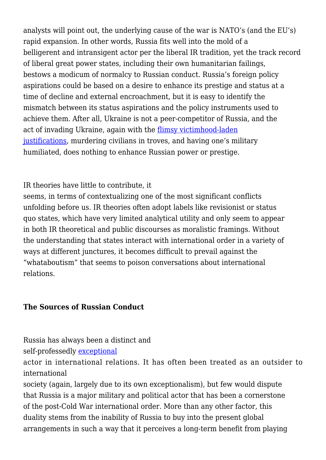analysts will point out, the underlying cause of the war is NATO's (and the EU's) rapid expansion. In other words, Russia fits well into the mold of a belligerent and intransigent actor per the liberal IR tradition, yet the track record of liberal great power states, including their own humanitarian failings, bestows a modicum of normalcy to Russian conduct. Russia's foreign policy aspirations could be based on a desire to enhance its prestige and status at a time of decline and external encroachment, but it is easy to identify the mismatch between its status aspirations and the policy instruments used to achieve them. After all, Ukraine is not a peer-competitor of Russia, and the act of invading Ukraine, again with the [flimsy victimhood-laden](https://euvsdisinfo.eu/the-kremlin-weaponising-victimhood/) [justifications,](https://euvsdisinfo.eu/the-kremlin-weaponising-victimhood/) murdering civilians in troves, and having one's military humiliated, does nothing to enhance Russian power or prestige.

IR theories have little to contribute, it

seems, in terms of contextualizing one of the most significant conflicts unfolding before us. IR theories often adopt labels like revisionist or status quo states, which have very limited analytical utility and only seem to appear in both IR theoretical and public discourses as moralistic framings. Without the understanding that states interact with international order in a variety of ways at different junctures, it becomes difficult to prevail against the "whataboutism" that seems to poison conversations about international relations.

## **The Sources of Russian Conduct**

Russia has always been a distinct and

self-professedly [exceptional](https://www.proquest.com/docview/1523727021?pq-origsite=gscholar&fromopenview=true)

actor in international relations. It has often been treated as an outsider to international

society (again, largely due to its own exceptionalism), but few would dispute that Russia is a major military and political actor that has been a cornerstone of the post-Cold War international order. More than any other factor, this duality stems from the inability of Russia to buy into the present global arrangements in such a way that it perceives a long-term benefit from playing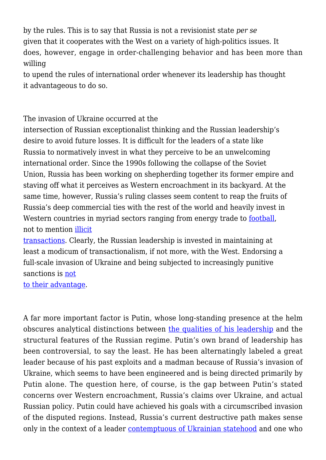by the rules. This is to say that Russia is not a revisionist state *per se* given that it cooperates with the West on a variety of high-politics issues. It does, however, engage in order-challenging behavior and has been more than willing

to upend the rules of international order whenever its leadership has thought it advantageous to do so.

The invasion of Ukraine occurred at the

intersection of Russian exceptionalist thinking and the Russian leadership's desire to avoid future losses. It is difficult for the leaders of a state like Russia to normatively invest in what they perceive to be an unwelcoming international order. Since the 1990s following the collapse of the Soviet Union, Russia has been working on shepherding together its former empire and staving off what it perceives as Western encroachment in its backyard. At the same time, however, Russia's ruling classes seem content to reap the fruits of Russia's deep commercial ties with the rest of the world and heavily invest in Western countries in myriad sectors ranging from energy trade to **[football](https://www.straitstimes.com/sport/football/football-world-cup-boosted-russias-economy-by-over-20b-say-organisers)**, not to mention [illicit](https://www.npr.org/2022/03/27/1089072532/western-enablers-help-russian-oligarchs-hide-their-wealth)

[transactions.](https://www.npr.org/2022/03/27/1089072532/western-enablers-help-russian-oligarchs-hide-their-wealth) Clearly, the Russian leadership is invested in maintaining at least a modicum of transactionalism, if not more, with the West. Endorsing a full-scale invasion of Ukraine and being subjected to increasingly punitive sanctions is [not](https://foreignpolicy.com/2022/03/05/russia-oligarch-sanction-ukraine-russia-war-biden/)

[to their advantage](https://foreignpolicy.com/2022/03/05/russia-oligarch-sanction-ukraine-russia-war-biden/).

A far more important factor is Putin, whose long-standing presence at the helm obscures analytical distinctions between [the qualities of his leadership](https://www.uikpanorama.com/blog/2022/03/03/putin-yol/) and the structural features of the Russian regime. Putin's own brand of leadership has been controversial, to say the least. He has been alternatingly labeled a great leader because of his past exploits and a madman because of Russia's invasion of Ukraine, which seems to have been engineered and is being directed primarily by Putin alone. The question here, of course, is the gap between Putin's stated concerns over Western encroachment, Russia's claims over Ukraine, and actual Russian policy. Putin could have achieved his goals with a circumscribed invasion of the disputed regions. Instead, Russia's current destructive path makes sense only in the context of a leader [contemptuous of Ukrainian statehood](https://www.newyorker.com/news/q-and-a/vladimir-putins-revisionist-history-of-russia-and-ukraine) and one who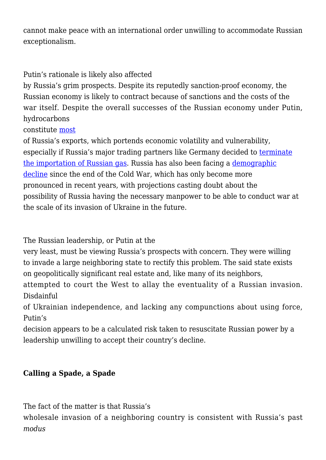cannot make peace with an international order unwilling to accommodate Russian exceptionalism.

Putin's rationale is likely also affected

by Russia's grim prospects. Despite its reputedly sanction-proof economy, the Russian economy is likely to contract because of sanctions and the costs of the war itself. Despite the overall successes of the Russian economy under Putin, hydrocarbons

constitute [most](https://warsawinstitute.org/russias-economy-becoming-heavily-dependent-hydrocarbons/)

of Russia's exports, which portends economic volatility and vulnerability, especially if Russia's major trading partners like Germany decided to [terminate](https://www.ft.com/content/e82b11a1-cf1f-4543-9f9f-6ab70da6b746) [the importation of Russian gas.](https://www.ft.com/content/e82b11a1-cf1f-4543-9f9f-6ab70da6b746) Russia has also been facing a [demographic](https://foreignpolicy.com/2022/01/03/russia-demography-birthrate-decline-ukraine/) [decline](https://foreignpolicy.com/2022/01/03/russia-demography-birthrate-decline-ukraine/) since the end of the Cold War, which has only become more pronounced in recent years, with projections casting doubt about the possibility of Russia having the necessary manpower to be able to conduct war at the scale of its invasion of Ukraine in the future.

The Russian leadership, or Putin at the

very least, must be viewing Russia's prospects with concern. They were willing to invade a large neighboring state to rectify this problem. The said state exists on geopolitically significant real estate and, like many of its neighbors,

attempted to court the West to allay the eventuality of a Russian invasion. Disdainful

of Ukrainian independence, and lacking any compunctions about using force, Putin's

decision appears to be a calculated risk taken to resuscitate Russian power by a leadership unwilling to accept their country's decline.

## **Calling a Spade, a Spade**

The fact of the matter is that Russia's

wholesale invasion of a neighboring country is consistent with Russia's past *modus*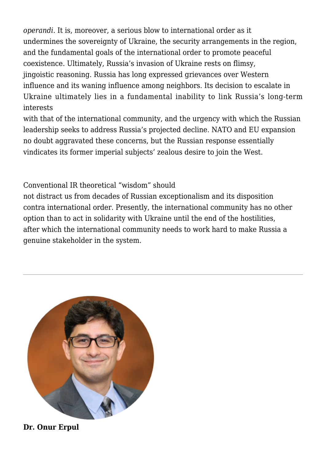*operandi*. It is, moreover, a serious blow to international order as it undermines the sovereignty of Ukraine, the security arrangements in the region, and the fundamental goals of the international order to promote peaceful coexistence. Ultimately, Russia's invasion of Ukraine rests on flimsy, jingoistic reasoning. Russia has long expressed grievances over Western influence and its waning influence among neighbors. Its decision to escalate in Ukraine ultimately lies in a fundamental inability to link Russia's long-term interests

with that of the international community, and the urgency with which the Russian leadership seeks to address Russia's projected decline. NATO and EU expansion no doubt aggravated these concerns, but the Russian response essentially vindicates its former imperial subjects' zealous desire to join the West.

Conventional IR theoretical "wisdom" should

not distract us from decades of Russian exceptionalism and its disposition contra international order. Presently, the international community has no other option than to act in solidarity with Ukraine until the end of the hostilities, after which the international community needs to work hard to make Russia a genuine stakeholder in the system.



**Dr. Onur Erpul**